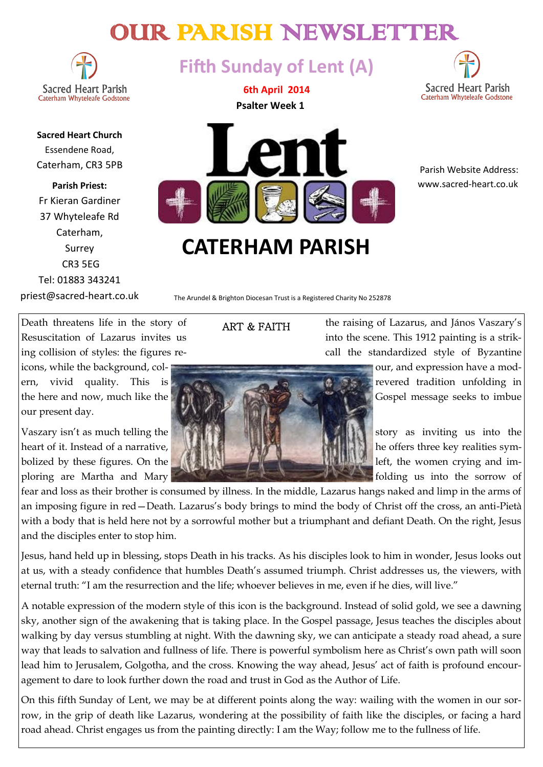# OUR PARISH NEWSLETTER

**Sacred Heart Parish** Caterham Whyteleafe Godstone

**Sacred Heart Church** Essendene Road, Caterham, CR3 5PB

**Parish Priest:** Fr Kieran Gardiner 37 Whyteleafe Rd Caterham, Surrey CR3 5EG Tel: 01883 343241

priest@sacred-heart.co.uk

**Fifth Sunday of Lent (A)**

**6th April 2014 Psalter Week 1**



 Parish Website Address: www.sacred-heart.co.uk

# **CATERHAM PARISH**

The Arundel & Brighton Diocesan Trust is a Registered Charity No 252878

ART & FAITH

our present day.

Death threatens life in the story of  $\Delta$ RT & RAITH the raising of Lazarus, and János Vaszary's Resuscitation of Lazarus invites us into the scene. This 1912 painting is a striking collision of styles: the figures re- call the standardized style of Byzantine

fear and loss as their brother is consumed by illness. In the middle, Lazarus hangs naked and limp in the arms of an imposing figure in red—Death. Lazarus's body brings to mind the body of Christ off the cross, an anti-Pietà with a body that is held here not by a sorrowful mother but a triumphant and defiant Death. On the right, Jesus and the disciples enter to stop him.

Jesus, hand held up in blessing, stops Death in his tracks. As his disciples look to him in wonder, Jesus looks out at us, with a steady confidence that humbles Death's assumed triumph. Christ addresses us, the viewers, with eternal truth: "I am the resurrection and the life; whoever believes in me, even if he dies, will live."

A notable expression of the modern style of this icon is the background. Instead of solid gold, we see a dawning sky, another sign of the awakening that is taking place. In the Gospel passage, Jesus teaches the disciples about walking by day versus stumbling at night. With the dawning sky, we can anticipate a steady road ahead, a sure way that leads to salvation and fullness of life. There is powerful symbolism here as Christ's own path will soon lead him to Jerusalem, Golgotha, and the cross. Knowing the way ahead, Jesus' act of faith is profound encouragement to dare to look further down the road and trust in God as the Author of Life.

On this fifth Sunday of Lent, we may be at different points along the way: wailing with the women in our sorrow, in the grip of death like Lazarus, wondering at the possibility of faith like the disciples, or facing a hard road ahead. Christ engages us from the painting directly: I am the Way; follow me to the fullness of life.

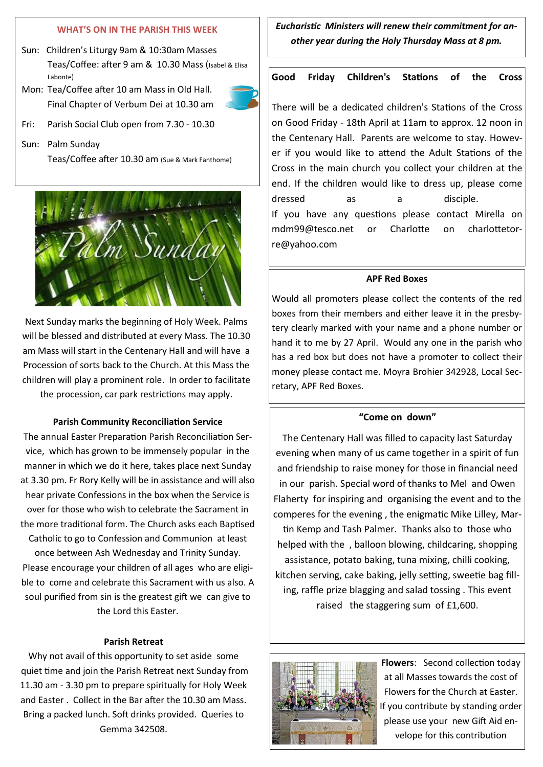# **WHAT'S ON IN THE PARISH THIS WEEK**

- Sun: Children's Liturgy 9am & 10:30am Masses Teas/Coffee: after 9 am & 10.30 Mass (Isabel & Elisa Labonte)
- Mon: Tea/Coffee after 10 am Mass in Old Hall. Final Chapter of Verbum Dei at 10.30 am



Fri: Parish Social Club open from 7.30 - 10.30

Sun: Palm Sunday Teas/Coffee after 10.30 am (Sue & Mark Fanthome)



Next Sunday marks the beginning of Holy Week. Palms will be blessed and distributed at every Mass. The 10.30 am Mass will start in the Centenary Hall and will have a Procession of sorts back to the Church. At this Mass the children will play a prominent role. In order to facilitate the procession, car park restrictions may apply.

#### **Parish Community Reconciliation Service**

The annual Easter Preparation Parish Reconciliation Service, which has grown to be immensely popular in the manner in which we do it here, takes place next Sunday at 3.30 pm. Fr Rory Kelly will be in assistance and will also hear private Confessions in the box when the Service is over for those who wish to celebrate the Sacrament in the more traditional form. The Church asks each Baptised Catholic to go to Confession and Communion at least once between Ash Wednesday and Trinity Sunday. Please encourage your children of all ages who are eligible to come and celebrate this Sacrament with us also. A soul purified from sin is the greatest gift we can give to the Lord this Easter.

### **Parish Retreat**

Why not avail of this opportunity to set aside some quiet time and join the Parish Retreat next Sunday from 11.30 am - 3.30 pm to prepare spiritually for Holy Week and Easter . Collect in the Bar after the 10.30 am Mass. Bring a packed lunch. Soft drinks provided. Queries to Gemma 342508.

*Eucharistic Ministers will renew their commitment for another year during the Holy Thursday Mass at 8 pm.* 

# **Good Friday Children's Stations of the Cross**

There will be a dedicated children's Stations of the Cross on Good Friday - 18th April at 11am to approx. 12 noon in the Centenary Hall. Parents are welcome to stay. However if you would like to attend the Adult Stations of the Cross in the main church you collect your children at the end. If the children would like to dress up, please come dressed as a disciple. If you have any questions please contact Mirella on mdm99@tesco.net or Charlotte on charlottetorre@yahoo.com

#### **APF Red Boxes**

Would all promoters please collect the contents of the red boxes from their members and either leave it in the presbytery clearly marked with your name and a phone number or hand it to me by 27 April. Would any one in the parish who has a red box but does not have a promoter to collect their money please contact me. Moyra Brohier 342928, Local Secretary, APF Red Boxes.

#### **"Come on down"**

The Centenary Hall was filled to capacity last Saturday evening when many of us came together in a spirit of fun and friendship to raise money for those in financial need in our parish. Special word of thanks to Mel and Owen Flaherty for inspiring and organising the event and to the comperes for the evening , the enigmatic Mike Lilley, Martin Kemp and Tash Palmer. Thanks also to those who helped with the , balloon blowing, childcaring, shopping assistance, potato baking, tuna mixing, chilli cooking, kitchen serving, cake baking, jelly setting, sweetie bag filling, raffle prize blagging and salad tossing . This event raised the staggering sum of £1,600.



**Flowers**: Second collection today at all Masses towards the cost of Flowers for the Church at Easter. If you contribute by standing order please use your new Gift Aid envelope for this contribution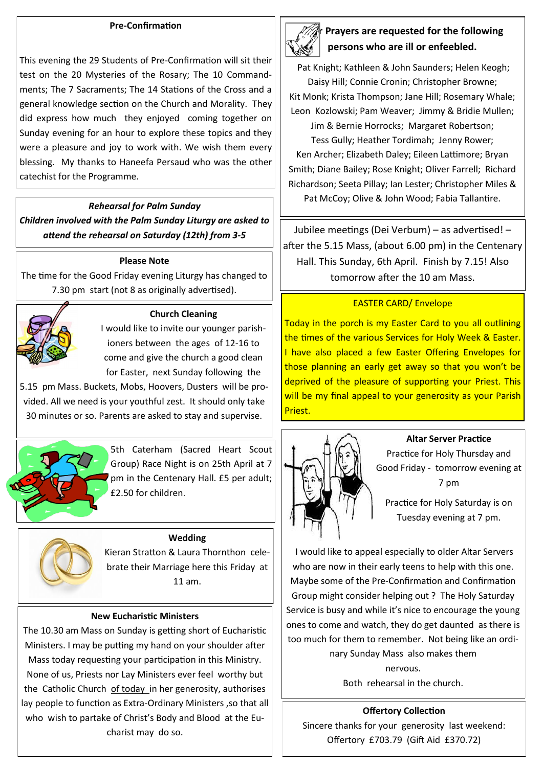### **Pre-Confirmation**

This evening the 29 Students of Pre-Confirmation will sit their test on the 20 Mysteries of the Rosary; The 10 Commandments; The 7 Sacraments; The 14 Stations of the Cross and a general knowledge section on the Church and Morality. They did express how much they enjoyed coming together on Sunday evening for an hour to explore these topics and they were a pleasure and joy to work with. We wish them every blessing. My thanks to Haneefa Persaud who was the other catechist for the Programme.

### *Rehearsal for Palm Sunday*

*Children involved with the Palm Sunday Liturgy are asked to attend the rehearsal on Saturday (12th) from 3-5*

### **Please Note**

The time for the Good Friday evening Liturgy has changed to 7.30 pm start (not 8 as originally advertised).



#### **Church Cleaning**

I would like to invite our younger parishioners between the ages of 12-16 to come and give the church a good clean for Easter, next Sunday following the

5.15 pm Mass. Buckets, Mobs, Hoovers, Dusters will be provided. All we need is your youthful zest. It should only take 30 minutes or so. Parents are asked to stay and supervise.



5th Caterham (Sacred Heart Scout Group) Race Night is on 25th April at 7 pm in the Centenary Hall. £5 per adult; £2.50 for children.

#### **Wedding**

Kieran Stratton & Laura Thornthon celebrate their Marriage here this Friday at 11 am.

### **New Eucharistic Ministers**

The 10.30 am Mass on Sunday is getting short of Eucharistic Ministers. I may be putting my hand on your shoulder after Mass today requesting your participation in this Ministry. None of us, Priests nor Lay Ministers ever feel worthy but the Catholic Church of today in her generosity, authorises lay people to function as Extra-Ordinary Ministers ,so that all who wish to partake of Christ's Body and Blood at the Eucharist may do so.



# **Prayers are requested for the following persons who are ill or enfeebled.**

Pat Knight; Kathleen & John Saunders; Helen Keogh; Daisy Hill; Connie Cronin; Christopher Browne; Kit Monk; Krista Thompson; Jane Hill; Rosemary Whale;

Leon Kozlowski; Pam Weaver; Jimmy & Bridie Mullen; Jim & Bernie Horrocks; Margaret Robertson; Tess Gully; Heather Tordimah; Jenny Rower; Ken Archer; Elizabeth Daley; Eileen Lattimore; Bryan Smith; Diane Bailey; Rose Knight; Oliver Farrell; Richard Richardson; Seeta Pillay; Ian Lester; Christopher Miles & Pat McCoy; Olive & John Wood; Fabia Tallantire.

Jubilee meetings (Dei Verbum) – as advertised! – after the 5.15 Mass, (about 6.00 pm) in the Centenary Hall. This Sunday, 6th April. Finish by 7.15! Also tomorrow after the 10 am Mass.

# EASTER CARD/ Envelope

Today in the porch is my Easter Card to you all outlining the times of the various Services for Holy Week & Easter. I have also placed a few Easter Offering Envelopes for those planning an early get away so that you won't be deprived of the pleasure of supporting your Priest. This will be my final appeal to your generosity as your Parish Priest.



### **Altar Server Practice**

Practice for Holy Thursday and Good Friday - tomorrow evening at 7 pm

Practice for Holy Saturday is on Tuesday evening at 7 pm.

I would like to appeal especially to older Altar Servers who are now in their early teens to help with this one. Maybe some of the Pre-Confirmation and Confirmation Group might consider helping out ? The Holy Saturday Service is busy and while it's nice to encourage the young ones to come and watch, they do get daunted as there is too much for them to remember. Not being like an ordinary Sunday Mass also makes them nervous.

Both rehearsal in the church.

**Offertory Collection** Sincere thanks for your generosity last weekend: Offertory £703.79 (Gift Aid £370.72)